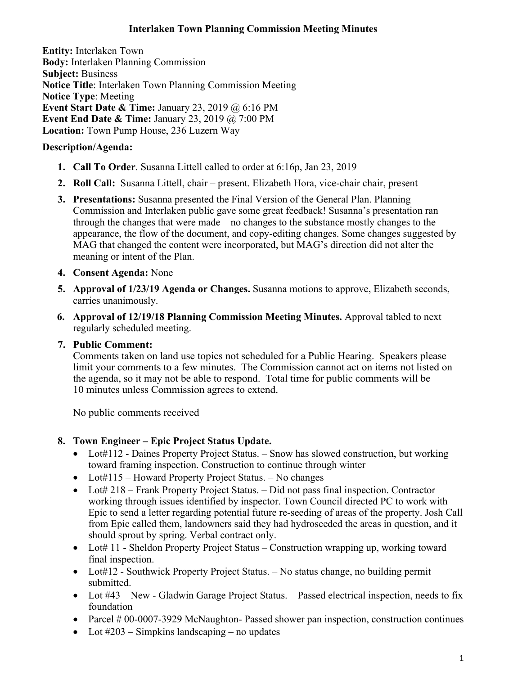### **Interlaken Town Planning Commission Meeting Minutes**

**Entity:** Interlaken Town **Body:** Interlaken Planning Commission **Subject:** Business **Notice Title**: Interlaken Town Planning Commission Meeting **Notice Type**: Meeting **Event Start Date & Time:** January 23, 2019 @ 6:16 PM **Event End Date & Time:** January 23, 2019 @ 7:00 PM **Location:** Town Pump House, 236 Luzern Way

## **Description/Agenda:**

- **1. Call To Order**. Susanna Littell called to order at 6:16p, Jan 23, 2019
- **2. Roll Call:** Susanna Littell, chair present. Elizabeth Hora, vice-chair chair, present
- **3. Presentations:** Susanna presented the Final Version of the General Plan. Planning Commission and Interlaken public gave some great feedback! Susanna's presentation ran through the changes that were made – no changes to the substance mostly changes to the appearance, the flow of the document, and copy-editing changes. Some changes suggested by MAG that changed the content were incorporated, but MAG's direction did not alter the meaning or intent of the Plan.
- **4. Consent Agenda:** None
- **5. Approval of 1/23/19 Agenda or Changes.** Susanna motions to approve, Elizabeth seconds, carries unanimously.
- **6. Approval of 12/19/18 Planning Commission Meeting Minutes.** Approval tabled to next regularly scheduled meeting.

# **7. Public Comment:**

Comments taken on land use topics not scheduled for a Public Hearing. Speakers please limit your comments to a few minutes. The Commission cannot act on items not listed on the agenda, so it may not be able to respond. Total time for public comments will be 10 minutes unless Commission agrees to extend.

No public comments received

# **8. Town Engineer – Epic Project Status Update.**

- Lot#112 Daines Property Project Status. Snow has slowed construction, but working toward framing inspection. Construction to continue through winter
- Lot#115 Howard Property Project Status. No changes
- Lot# 218 Frank Property Project Status. Did not pass final inspection. Contractor working through issues identified by inspector. Town Council directed PC to work with Epic to send a letter regarding potential future re-seeding of areas of the property. Josh Call from Epic called them, landowners said they had hydroseeded the areas in question, and it should sprout by spring. Verbal contract only.
- Lot# 11 Sheldon Property Project Status Construction wrapping up, working toward final inspection.
- Lot#12 Southwick Property Project Status. No status change, no building permit submitted.
- Lot #43 New Gladwin Garage Project Status. Passed electrical inspection, needs to fix foundation
- Parcel # 00-0007-3929 McNaughton- Passed shower pan inspection, construction continues
- Lot  $\#203$  Simpkins landscaping no updates